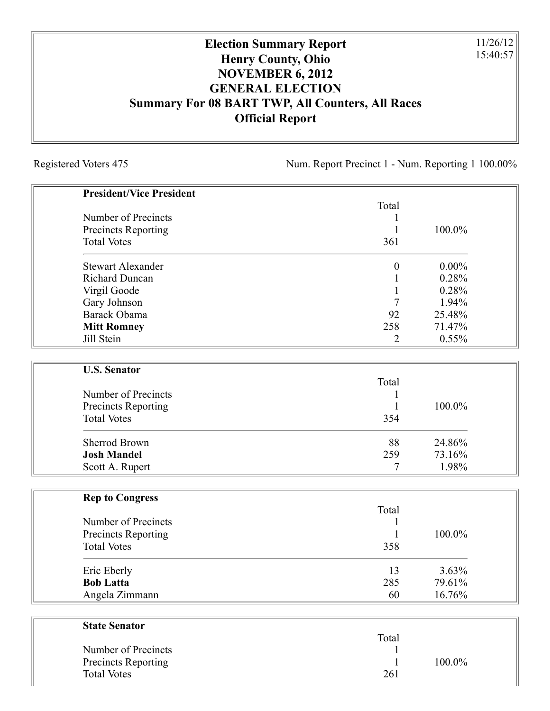## **Election Summary Report Henry County, Ohio NOVEMBER 6, 2012 GENERAL ELECTION Summary For 08 BART TWP, All Counters, All Races Official Report**

Registered Voters 475 Num. Report Precinct 1 - Num. Reporting 1 100.00%

11/26/12 15:40:57

| <b>President/Vice President</b> |                  |          |
|---------------------------------|------------------|----------|
|                                 | Total            |          |
| Number of Precincts             | 1                |          |
| <b>Precincts Reporting</b>      | $\mathbf{1}$     | 100.0%   |
| <b>Total Votes</b>              | 361              |          |
| <b>Stewart Alexander</b>        | $\boldsymbol{0}$ | $0.00\%$ |
| <b>Richard Duncan</b>           | 1                | 0.28%    |
| Virgil Goode                    | $\mathbf{1}$     | 0.28%    |
| Gary Johnson                    | 7                | 1.94%    |
| Barack Obama                    | 92               | 25.48%   |
| <b>Mitt Romney</b>              | 258              | 71.47%   |
| Jill Stein                      | 2                | 0.55%    |
| <b>U.S. Senator</b>             |                  |          |
|                                 | Total            |          |
| Number of Precincts             | 1                |          |
| <b>Precincts Reporting</b>      | $\mathbf{1}$     | 100.0%   |
| <b>Total Votes</b>              | 354              |          |
| <b>Sherrod Brown</b>            | 88               | 24.86%   |
| <b>Josh Mandel</b>              | 259              | 73.16%   |
| Scott A. Rupert                 | 7                | 1.98%    |
| <b>Rep to Congress</b>          |                  |          |
|                                 | Total            |          |
| Number of Precincts             | 1                |          |
| Precincts Reporting             | $\mathbf{1}$     | 100.0%   |
| <b>Total Votes</b>              | 358              |          |
| Eric Eberly                     | 13               | 3.63%    |
| <b>Bob Latta</b>                | 285              | 79.61%   |
| Angela Zimmann                  | 60               | 16.76%   |
| <b>State Senator</b>            |                  |          |
|                                 | Total            |          |

| Number of Precincts<br>Precincts Reporting<br><b>Total Votes</b> | ------<br>261 | $100.0\%$ |  |
|------------------------------------------------------------------|---------------|-----------|--|
|                                                                  |               |           |  |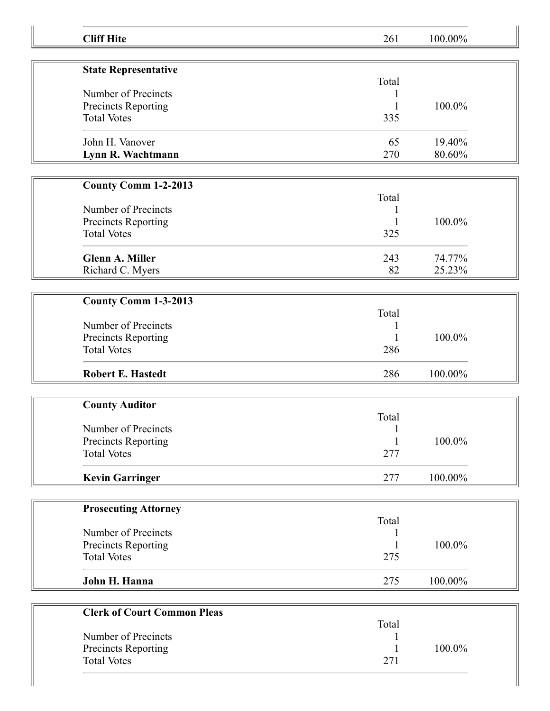| <b>Cliff Hite</b>                         | 261               | 100.00% |  |
|-------------------------------------------|-------------------|---------|--|
|                                           |                   |         |  |
| <b>State Representative</b>               | Total             |         |  |
| Number of Precincts                       |                   |         |  |
| Precincts Reporting                       |                   | 100.0%  |  |
| <b>Total Votes</b>                        | 335               |         |  |
| John H. Vanover                           | 65                | 19.40%  |  |
| Lynn R. Wachtmann                         | 270               | 80.60%  |  |
| <b>County Comm 1-2-2013</b>               |                   |         |  |
|                                           | Total             |         |  |
| Number of Precincts                       | 1                 |         |  |
| Precincts Reporting                       |                   | 100.0%  |  |
| <b>Total Votes</b>                        | 325               |         |  |
| <b>Glenn A. Miller</b>                    | 243               | 74.77%  |  |
| Richard C. Myers                          | 82                | 25.23%  |  |
|                                           |                   |         |  |
| County Comm 1-3-2013                      |                   |         |  |
|                                           | Total             |         |  |
| Number of Precincts                       |                   |         |  |
| Precincts Reporting                       |                   | 100.0%  |  |
| <b>Total Votes</b>                        | 286               |         |  |
| <b>Robert E. Hastedt</b>                  | 286               | 100.00% |  |
|                                           |                   |         |  |
| <b>County Auditor</b>                     |                   |         |  |
| Number of Precincts                       | Total             |         |  |
|                                           | $\mathbf{1}$<br>1 | 100.0%  |  |
| Precincts Reporting<br><b>Total Votes</b> | 277               |         |  |
|                                           |                   |         |  |
| <b>Kevin Garringer</b>                    | 277               | 100.00% |  |
|                                           |                   |         |  |
| <b>Prosecuting Attorney</b>               | Total             |         |  |
| Number of Precincts                       |                   |         |  |
| Precincts Reporting                       |                   | 100.0%  |  |
| <b>Total Votes</b>                        | 275               |         |  |
|                                           |                   |         |  |
| John H. Hanna                             | 275               | 100.00% |  |
|                                           |                   |         |  |
| <b>Clerk of Court Common Pleas</b>        | Total             |         |  |
| Number of Precincts                       |                   |         |  |
| Precincts Reporting                       |                   | 100.0%  |  |
| <b>Total Votes</b>                        | 271               |         |  |
|                                           |                   |         |  |
|                                           |                   |         |  |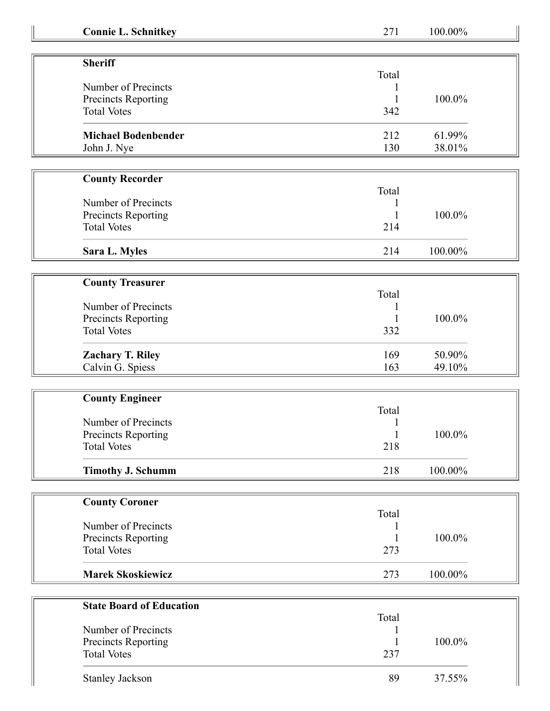| <b>Connie L. Schnitkey</b>      | 271          | 100.00% |
|---------------------------------|--------------|---------|
|                                 |              |         |
| <b>Sheriff</b>                  |              |         |
|                                 | Total        |         |
| Number of Precincts             |              |         |
| Precincts Reporting             |              | 100.0%  |
| <b>Total Votes</b>              | 342          |         |
| <b>Michael Bodenbender</b>      | 212          | 61.99%  |
| John J. Nye                     | 130          | 38.01%  |
|                                 |              |         |
| <b>County Recorder</b>          |              |         |
|                                 | Total        |         |
| Number of Precincts             |              |         |
| Precincts Reporting             |              | 100.0%  |
| <b>Total Votes</b>              | 214          |         |
| Sara L. Myles                   | 214          | 100.00% |
|                                 |              |         |
| <b>County Treasurer</b>         |              |         |
|                                 | Total        |         |
| Number of Precincts             |              |         |
| Precincts Reporting             |              | 100.0%  |
| <b>Total Votes</b>              | 332          |         |
|                                 |              |         |
| <b>Zachary T. Riley</b>         | 169          | 50.90%  |
| Calvin G. Spiess                | 163          | 49.10%  |
| <b>County Engineer</b>          |              |         |
|                                 | Total        |         |
| Number of Precincts             |              |         |
| <b>Precincts Reporting</b>      | $\mathbf{1}$ | 100.0%  |
| <b>Total Votes</b>              | 218          |         |
|                                 |              |         |
| <b>Timothy J. Schumm</b>        | 218          | 100.00% |
| <b>County Coroner</b>           |              |         |
|                                 | Total        |         |
| Number of Precincts             |              |         |
| Precincts Reporting             |              | 100.0%  |
| <b>Total Votes</b>              | 273          |         |
|                                 |              |         |
| <b>Marek Skoskiewicz</b>        | 273          | 100.00% |
|                                 |              |         |
| <b>State Board of Education</b> | Total        |         |
| Number of Precincts             |              |         |
| Precincts Reporting             |              | 100.0%  |
| <b>Total Votes</b>              | 237          |         |
|                                 |              |         |
| Stanley Jackson                 | 89           | 37.55%  |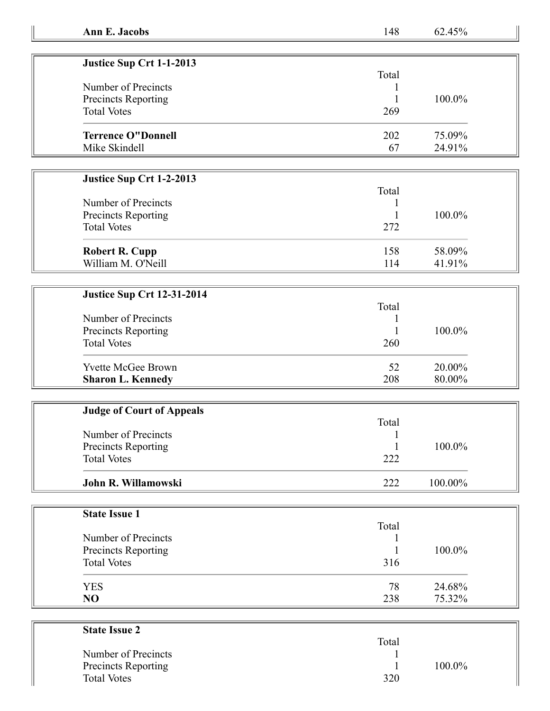| Justice Sup Crt 1-1-2013   |       |           |
|----------------------------|-------|-----------|
|                            | Total |           |
| Number of Precincts        |       |           |
| <b>Precincts Reporting</b> |       | $100.0\%$ |
| <b>Total Votes</b>         | 269   |           |
| <b>Terrence O"Donnell</b>  | 202   | 75.09%    |
| Mike Skindell              | 67    | 24.91%    |

## **Justice Sup Crt 1-2-2013**

| Number of Precincts                       | Total |        |
|-------------------------------------------|-------|--------|
|                                           |       |        |
| Precincts Reporting<br><b>Total Votes</b> | 272   | 100.0% |
|                                           |       |        |
| <b>Robert R. Cupp</b>                     | 158   | 58.09% |
| William M. O'Neill                        | 114   | 41.91% |

## **Justice Sup Crt 12-31-2014**

|                            | Total |           |
|----------------------------|-------|-----------|
| Number of Precincts        |       |           |
| <b>Precincts Reporting</b> |       | $100.0\%$ |
| <b>Total Votes</b>         | 260   |           |
| <b>Yvette McGee Brown</b>  | 52    | 20.00%    |
| <b>Sharon L. Kennedy</b>   | 208   | 80.00%    |

| <b>Judge of Court of Appeals</b> |       |            |  |
|----------------------------------|-------|------------|--|
|                                  | Total |            |  |
| Number of Precincts              |       |            |  |
| Precincts Reporting              |       | $100.0\%$  |  |
| <b>Total Votes</b>               | 222   |            |  |
| John R. Willamowski              | 222   | $100.00\%$ |  |

| <b>State Issue 1</b> |       |        |
|----------------------|-------|--------|
|                      | Total |        |
| Number of Precincts  |       |        |
| Precincts Reporting  |       | 100.0% |
| <b>Total Votes</b>   | 316   |        |
| <b>YES</b>           | 78    | 24.68% |
| NO                   | 238   | 75.32% |

| <b>State Issue 2</b>       |        |  |
|----------------------------|--------|--|
|                            | Total  |  |
| Number of Precincts        |        |  |
| <b>Precincts Reporting</b> | 100.0% |  |
| <b>Total Votes</b>         | 320    |  |